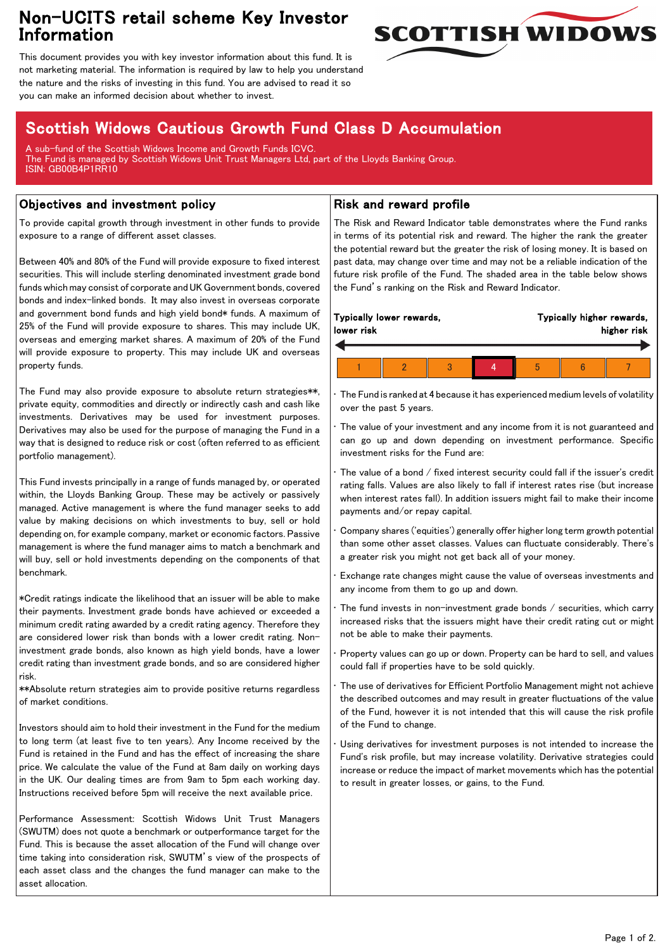## Non-UCITS retail scheme Key Investor Information



This document provides you with key investor information about this fund. It is not marketing material. The information is required by law to help you understand the nature and the risks of investing in this fund. You are advised to read it so you can make an informed decision about whether to invest.

# Scottish Widows Cautious Growth Fund Class D Accumulation

A sub-fund of the Scottish Widows Income and Growth Funds ICVC. The Fund is managed by Scottish Widows Unit Trust Managers Ltd, part of the Lloyds Banking Group. ISIN: GB00B4P1RR10

### Objectives and investment policy

To provide capital growth through investment in other funds to provide exposure to a range of different asset classes.

Between 40% and 80% of the Fund will provide exposure to fixed interest securities. This will include sterling denominated investment grade bond funds which may consist of corporate and UK Government bonds, covered bonds and index-linked bonds. It may also invest in overseas corporate and government bond funds and high yield bond\* funds. A maximum of 25% of the Fund will provide exposure to shares. This may include UK, overseas and emerging market shares. A maximum of 20% of the Fund will provide exposure to property. This may include UK and overseas property funds.

The Fund may also provide exposure to absolute return strategies\*\*, private equity, commodities and directly or indirectly cash and cash like investments. Derivatives may be used for investment purposes. Derivatives may also be used for the purpose of managing the Fund in a way that is designed to reduce risk or cost (often referred to as efficient portfolio management).

This Fund invests principally in a range of funds managed by, or operated within, the Lloyds Banking Group. These may be actively or passively managed. Active management is where the fund manager seeks to add value by making decisions on which investments to buy, sell or hold depending on, for example company, market or economic factors. Passive management is where the fund manager aims to match a benchmark and will buy, sell or hold investments depending on the components of that benchmark.

\*Credit ratings indicate the likelihood that an issuer will be able to make their payments. Investment grade bonds have achieved or exceeded a minimum credit rating awarded by a credit rating agency. Therefore they are considered lower risk than bonds with a lower credit rating. Noninvestment grade bonds, also known as high yield bonds, have a lower credit rating than investment grade bonds, and so are considered higher risk.

\*\*Absolute return strategies aim to provide positive returns regardless of market conditions.

Investors should aim to hold their investment in the Fund for the medium to long term (at least five to ten years). Any Income received by the Fund is retained in the Fund and has the effect of increasing the share price. We calculate the value of the Fund at 8am daily on working days in the UK. Our dealing times are from 9am to 5pm each working day. Instructions received before 5pm will receive the next available price.

Performance Assessment: Scottish Widows Unit Trust Managers (SWUTM) does not quote a benchmark or outperformance target for the Fund. This is because the asset allocation of the Fund will change over time taking into consideration risk, SWUTM's view of the prospects of each asset class and the changes the fund manager can make to the asset allocation.

#### Risk and reward profile

The Risk and Reward Indicator table demonstrates where the Fund ranks in terms of its potential risk and reward. The higher the rank the greater the potential reward but the greater the risk of losing money. It is based on past data, may change over time and may not be a reliable indication of the future risk profile of the Fund. The shaded area in the table below shows the Fund's ranking on the Risk and Reward Indicator.

|  | lower risk | Typically lower rewards, |  |  | Typically higher rewards,<br>higher risk |  |  |  |
|--|------------|--------------------------|--|--|------------------------------------------|--|--|--|
|  |            |                          |  |  |                                          |  |  |  |
|  |            |                          |  |  | b                                        |  |  |  |

• The Fund is ranked at 4 because it has experienced medium levels of volatility over the past 5 years.

The value of your investment and any income from it is not guaranteed and can go up and down depending on investment performance. Specific investment risks for the Fund are:

• The value of a bond / fixed interest security could fall if the issuer's credit rating falls. Values are also likely to fall if interest rates rise (but increase when interest rates fall). In addition issuers might fail to make their income payments and/or repay capital.

• Company shares ('equities') generally offer higher long term growth potential than some other asset classes. Values can fluctuate considerably. There's a greater risk you might not get back all of your money.

• Exchange rate changes might cause the value of overseas investments and any income from them to go up and down.

The fund invests in non-investment grade bonds  $/$  securities, which carry increased risks that the issuers might have their credit rating cut or might not be able to make their payments.

• Property values can go up or down. Property can be hard to sell, and values could fall if properties have to be sold quickly.

• The use of derivatives for Efficient Portfolio Management might not achieve the described outcomes and may result in greater fluctuations of the value of the Fund, however it is not intended that this will cause the risk profile of the Fund to change.

Using derivatives for investment purposes is not intended to increase the Fund's risk profile, but may increase volatility. Derivative strategies could increase or reduce the impact of market movements which has the potential to result in greater losses, or gains, to the Fund.